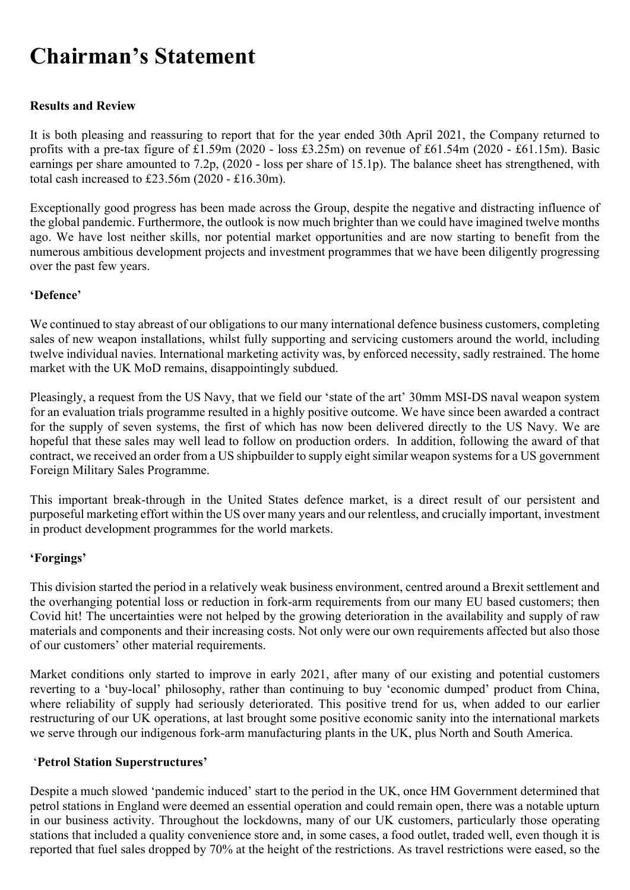# Chairman's Statement

## Results and Review

It is both pleasing and reassuring to report that for the year ended 30th April 2021, the Company returned to profits with a pre-tax figure of £1.59m (2020 - loss £3.25m) on revenue of £61.54m (2020 - £61.15m). Basic earnings per share amounted to 7.2p, (2020 - loss per share of 15.1p). The balance sheet has strengthened, with total cash increased to £23.56m (2020 - £16.30m).

Exceptionally good progress has been made across the Group, despite the negative and distracting influence of the global pandemic. Furthermore, the outlook is now much brighter than we could have imagined twelve months ago. We have lost neither skills, nor potential market opportunities and are now starting to benefit from the numerous ambitious development projects and investment programmes that we have been diligently progressing over the past few years.

## 'Defence'

We continued to stay abreast of our obligations to our many international defence business customers, completing sales of new weapon installations, whilst fully supporting and servicing customers around the world, including twelve individual navies. International marketing activity was, by enforced necessity, sadly restrained. The home market with the UK MoD remains, disappointingly subdued.

Pleasingly, a request from the US Navy, that we field our 'state of the art' 30mm MSI-DS naval weapon system for an evaluation trials programme resulted in a highly positive outcome. We have since been awarded a contract for the supply of seven systems, the first of which has now been delivered directly to the US Navy. We are hopeful that these sales may well lead to follow on production orders. In addition, following the award of that contract, we received an order from a US shipbuilder to supply eight similar weapon systems for a US government Foreign Military Sales Programme.

This important break-through in the United States defence market, is a direct result of our persistent and purposeful marketing effort within the US over many years and our relentless, and crucially important, investment in product development programmes for the world markets.

## 'Forgings'

This division started the period in a relatively weak business environment, centred around a Brexit settlement and the overhanging potential loss or reduction in fork-arm requirements from our many EU based customers; then Covid hit! The uncertainties were not helped by the growing deterioration in the availability and supply of raw materials and components and their increasing costs. Not only were our own requirements affected but also those of our customers' other material requirements.

Market conditions only started to improve in early 2021, after many of our existing and potential customers reverting to a 'buy-local' philosophy, rather than continuing to buy 'economic dumped' product from China, where reliability of supply had seriously deteriorated. This positive trend for us, when added to our earlier restructuring of our UK operations, at last brought some positive economic sanity into the international markets we serve through our indigenous fork-arm manufacturing plants in the UK, plus North and South America.

## 'Petrol Station Superstructures'

Despite a much slowed 'pandemic induced' start to the period in the UK, once HM Government determined that petrol stations in England were deemed an essential operation and could remain open, there was a notable upturn in our business activity. Throughout the lockdowns, many of our UK customers, particularly those operating stations that included a quality convenience store and, in some cases, a food outlet, traded well, even though it is reported that fuel sales dropped by 70% at the height of the restrictions. As travel restrictions were eased, so the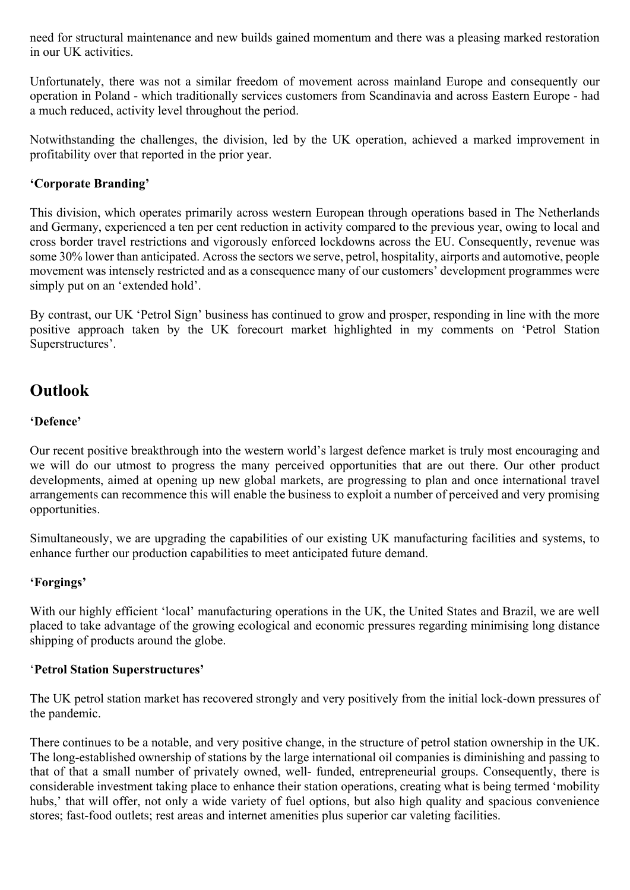need for structural maintenance and new builds gained momentum and there was a pleasing marked restoration in our UK activities.

Unfortunately, there was not a similar freedom of movement across mainland Europe and consequently our operation in Poland - which traditionally services customers from Scandinavia and across Eastern Europe - had a much reduced, activity level throughout the period.

Notwithstanding the challenges, the division, led by the UK operation, achieved a marked improvement in profitability over that reported in the prior year.

## 'Corporate Branding'

This division, which operates primarily across western European through operations based in The Netherlands and Germany, experienced a ten per cent reduction in activity compared to the previous year, owing to local and cross border travel restrictions and vigorously enforced lockdowns across the EU. Consequently, revenue was some 30% lower than anticipated. Across the sectors we serve, petrol, hospitality, airports and automotive, people movement was intensely restricted and as a consequence many of our customers' development programmes were simply put on an 'extended hold'.

By contrast, our UK 'Petrol Sign' business has continued to grow and prosper, responding in line with the more positive approach taken by the UK forecourt market highlighted in my comments on 'Petrol Station Superstructures'.

## **Outlook**

## 'Defence'

Our recent positive breakthrough into the western world's largest defence market is truly most encouraging and we will do our utmost to progress the many perceived opportunities that are out there. Our other product developments, aimed at opening up new global markets, are progressing to plan and once international travel arrangements can recommence this will enable the business to exploit a number of perceived and very promising opportunities.

Simultaneously, we are upgrading the capabilities of our existing UK manufacturing facilities and systems, to enhance further our production capabilities to meet anticipated future demand.

## 'Forgings'

With our highly efficient 'local' manufacturing operations in the UK, the United States and Brazil, we are well placed to take advantage of the growing ecological and economic pressures regarding minimising long distance shipping of products around the globe.

## 'Petrol Station Superstructures'

The UK petrol station market has recovered strongly and very positively from the initial lock-down pressures of the pandemic.

There continues to be a notable, and very positive change, in the structure of petrol station ownership in the UK. The long-established ownership of stations by the large international oil companies is diminishing and passing to that of that a small number of privately owned, well- funded, entrepreneurial groups. Consequently, there is considerable investment taking place to enhance their station operations, creating what is being termed 'mobility hubs,' that will offer, not only a wide variety of fuel options, but also high quality and spacious convenience stores; fast-food outlets; rest areas and internet amenities plus superior car valeting facilities.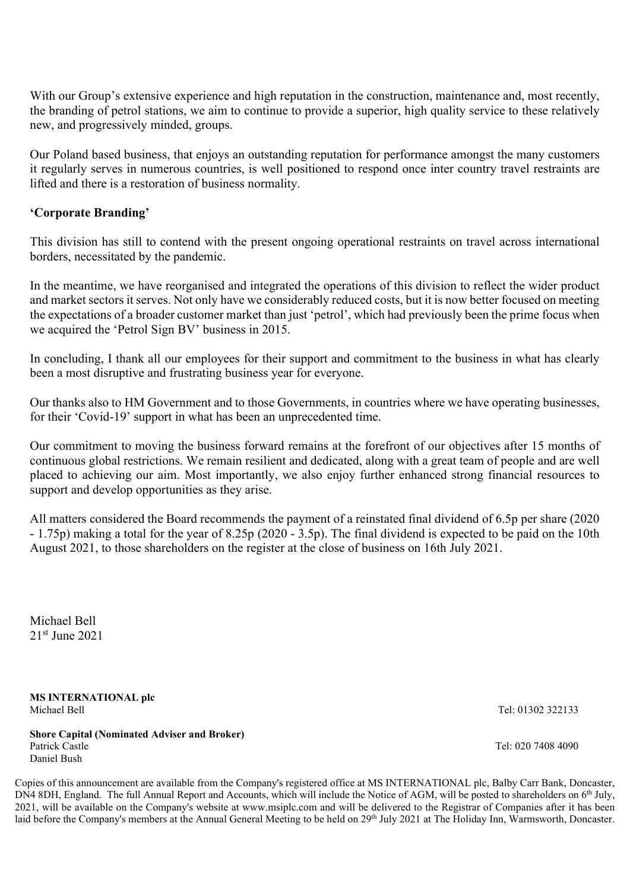With our Group's extensive experience and high reputation in the construction, maintenance and, most recently, the branding of petrol stations, we aim to continue to provide a superior, high quality service to these relatively new, and progressively minded, groups.

Our Poland based business, that enjoys an outstanding reputation for performance amongst the many customers it regularly serves in numerous countries, is well positioned to respond once inter country travel restraints are lifted and there is a restoration of business normality.

## 'Corporate Branding'

This division has still to contend with the present ongoing operational restraints on travel across international borders, necessitated by the pandemic.

In the meantime, we have reorganised and integrated the operations of this division to reflect the wider product and market sectors it serves. Not only have we considerably reduced costs, but it is now better focused on meeting the expectations of a broader customer market than just 'petrol', which had previously been the prime focus when we acquired the 'Petrol Sign BV' business in 2015.

In concluding, I thank all our employees for their support and commitment to the business in what has clearly been a most disruptive and frustrating business year for everyone.

Our thanks also to HM Government and to those Governments, in countries where we have operating businesses, for their 'Covid-19' support in what has been an unprecedented time.

Our commitment to moving the business forward remains at the forefront of our objectives after 15 months of continuous global restrictions. We remain resilient and dedicated, along with a great team of people and are well placed to achieving our aim. Most importantly, we also enjoy further enhanced strong financial resources to support and develop opportunities as they arise.

All matters considered the Board recommends the payment of a reinstated final dividend of 6.5p per share (2020 - 1.75p) making a total for the year of 8.25p (2020 - 3.5p). The final dividend is expected to be paid on the 10th August 2021, to those shareholders on the register at the close of business on 16th July 2021.

Michael Bell 21st June 2021

MS INTERNATIONAL plc Michael Bell Tel: 01302 322133

Shore Capital (Nominated Adviser and Broker) Patrick Castle **Tel: 020 7408 4090** Tel: 020 7408 4090 Daniel Bush

Copies of this announcement are available from the Company's registered office at MS INTERNATIONAL plc, Balby Carr Bank, Doncaster, DN4 8DH, England. The full Annual Report and Accounts, which will include the Notice of AGM, will be posted to shareholders on 6<sup>th</sup> July, 2021, will be available on the Company's website at www.msiplc.com and will be delivered to the Registrar of Companies after it has been laid before the Company's members at the Annual General Meeting to be held on 29th July 2021 at The Holiday Inn, Warmsworth, Doncaster.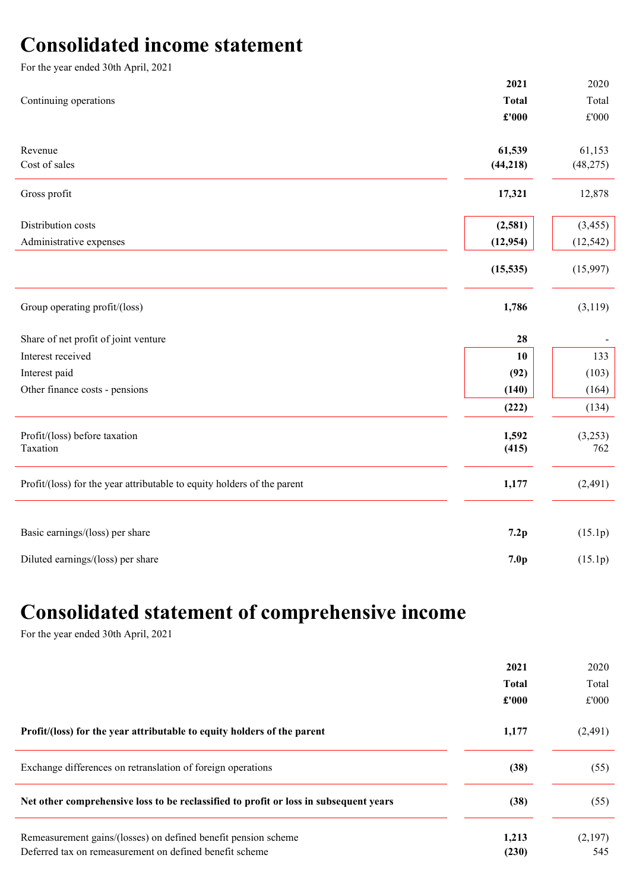## Consolidated income statement

| For the year ended 30th April, 2021                                     |                  |                |
|-------------------------------------------------------------------------|------------------|----------------|
|                                                                         | 2021             | 2020           |
| Continuing operations                                                   | <b>Total</b>     | Total          |
|                                                                         | £'000            | $\pounds 000$  |
| Revenue                                                                 | 61,539           | 61,153         |
| Cost of sales                                                           | (44, 218)        | (48, 275)      |
| Gross profit                                                            | 17,321           | 12,878         |
| Distribution costs                                                      | (2,581)          | (3, 455)       |
| Administrative expenses                                                 | (12, 954)        | (12, 542)      |
|                                                                         | (15, 535)        | (15,997)       |
| Group operating profit/(loss)                                           | 1,786            | (3,119)        |
| Share of net profit of joint venture                                    | 28               |                |
| Interest received                                                       | 10               | 133            |
| Interest paid                                                           | (92)             | (103)          |
| Other finance costs - pensions                                          | (140)            | (164)          |
|                                                                         | (222)            | (134)          |
| Profit/(loss) before taxation<br>Taxation                               | 1,592<br>(415)   | (3,253)<br>762 |
| Profit/(loss) for the year attributable to equity holders of the parent | 1,177            | (2, 491)       |
| Basic earnings/(loss) per share                                         | 7.2p             | (15.1p)        |
| Diluted earnings/(loss) per share                                       | 7.0 <sub>p</sub> | (15.1p)        |

## Consolidated statement of comprehensive income

For the year ended 30th April, 2021

|                                                                                       | 2021         | 2020    |
|---------------------------------------------------------------------------------------|--------------|---------|
|                                                                                       | <b>Total</b> | Total   |
|                                                                                       | £'000        | £'000   |
| Profit/(loss) for the year attributable to equity holders of the parent               | 1,177        | (2,491) |
| Exchange differences on retranslation of foreign operations                           | (38)         | (55)    |
| Net other comprehensive loss to be reclassified to profit or loss in subsequent years | (38)         | (55)    |
| Remeasurement gains/(losses) on defined benefit pension scheme                        | 1,213        | (2,197) |
| Deferred tax on remeasurement on defined benefit scheme                               | (230)        | 545     |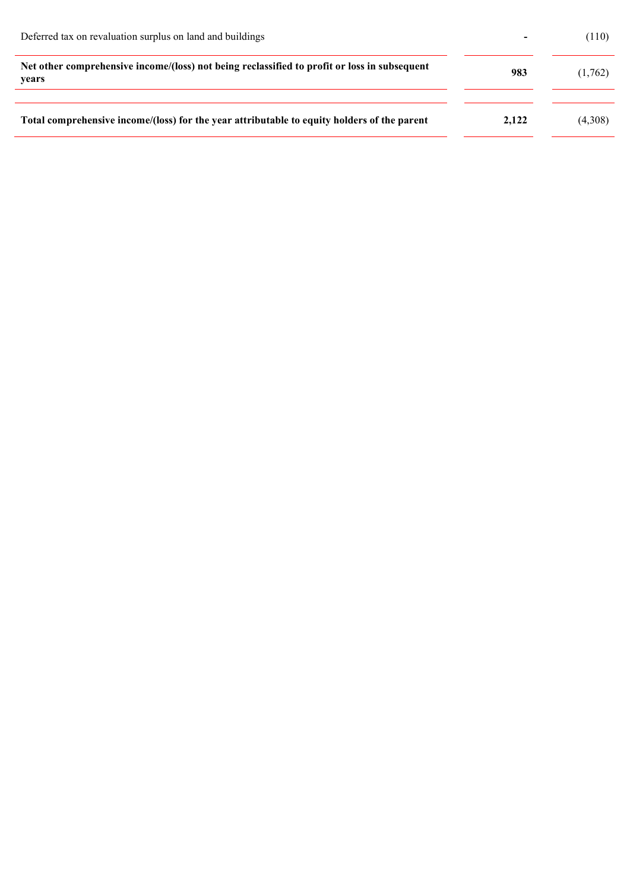| Deferred tax on revaluation surplus on land and buildings                                             | $\overline{\phantom{0}}$ | (110)   |
|-------------------------------------------------------------------------------------------------------|--------------------------|---------|
| Net other comprehensive income/(loss) not being reclassified to profit or loss in subsequent<br>years | 983                      | (1,762) |
| Total comprehensive income/(loss) for the year attributable to equity holders of the parent           | 2.122                    | (4,308) |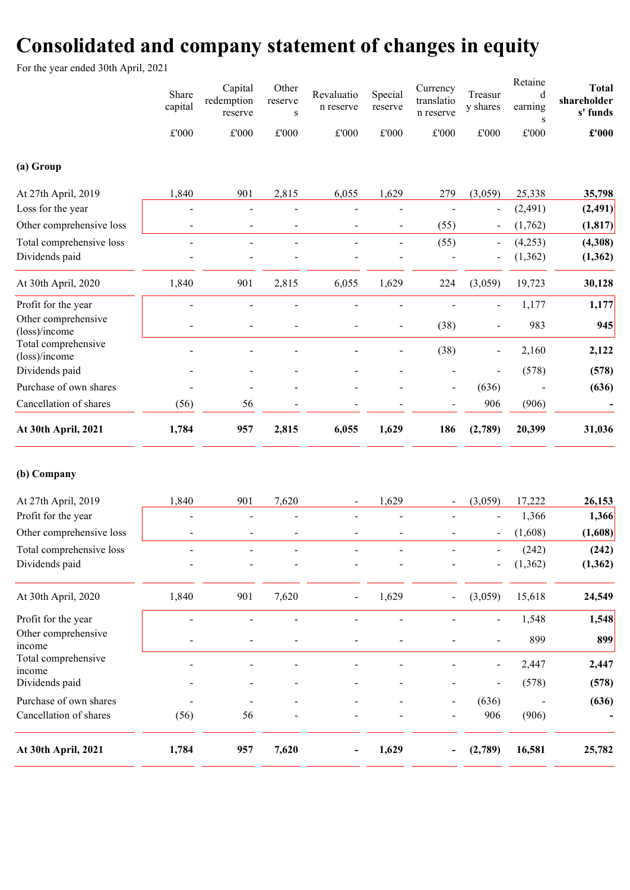## Consolidated and company statement of changes in equity

For the year ended 30th April, 2021

| (a) Group<br>At 27th April, 2019<br>Loss for the year<br>Other comprehensive loss | Share<br>capital<br>£'000<br>1,840<br>$\overline{a}$ | Capital<br>redemption<br>reserve<br>$\pounds 000$<br>901<br>$\overline{a}$ | Other<br>reserve<br>${\bf S}$<br>£'000<br>2,815 | Revaluatio<br>n reserve<br>£'000<br>6,055 | Special<br>reserve<br>£'000<br>1,629<br>$\overline{a}$ | Currency<br>translatio<br>n reserve<br>£'000<br>279 | Treasur<br>y shares<br>$\pounds 000$<br>(3,059)<br>$\qquad \qquad \blacksquare$ | Retaine<br>d<br>earning<br>S<br>£'000<br>25,338<br>(2, 491)<br>(1,762) | <b>Total</b><br>shareholder<br>s' funds<br>£'000<br>35,798<br>(2, 491) |
|-----------------------------------------------------------------------------------|------------------------------------------------------|----------------------------------------------------------------------------|-------------------------------------------------|-------------------------------------------|--------------------------------------------------------|-----------------------------------------------------|---------------------------------------------------------------------------------|------------------------------------------------------------------------|------------------------------------------------------------------------|
|                                                                                   |                                                      | $\frac{1}{2}$                                                              | $\overline{a}$                                  |                                           | $\overline{a}$<br>$\blacksquare$                       | (55)                                                | $\blacksquare$                                                                  | (4,253)                                                                | (1, 817)                                                               |
| Total comprehensive loss<br>Dividends paid                                        |                                                      |                                                                            |                                                 |                                           |                                                        | (55)                                                | $\qquad \qquad \blacksquare$<br>$\overline{a}$                                  | (1, 362)                                                               | (4,308)<br>(1, 362)                                                    |
| At 30th April, 2020                                                               | 1,840                                                | 901                                                                        | 2,815                                           | 6,055                                     | 1,629                                                  | 224                                                 | (3,059)                                                                         | 19,723                                                                 | 30,128                                                                 |
| Profit for the year<br>Other comprehensive<br>(loss)/income                       |                                                      | $\overline{a}$<br>$\overline{a}$                                           |                                                 |                                           | $\overline{a}$                                         | (38)                                                | $\qquad \qquad \blacksquare$<br>$\overline{a}$                                  | 1,177<br>983                                                           | 1,177<br>945                                                           |
| Total comprehensive<br>(loss)/income                                              |                                                      |                                                                            |                                                 |                                           |                                                        | (38)                                                | $\qquad \qquad \blacksquare$                                                    | 2,160                                                                  | 2,122                                                                  |
| Dividends paid                                                                    |                                                      |                                                                            |                                                 |                                           |                                                        |                                                     |                                                                                 | (578)                                                                  | (578)                                                                  |
| Purchase of own shares                                                            |                                                      |                                                                            |                                                 |                                           |                                                        | $\overline{\phantom{a}}$                            | (636)                                                                           |                                                                        | (636)                                                                  |
| Cancellation of shares                                                            | (56)                                                 | 56                                                                         |                                                 |                                           |                                                        |                                                     | 906                                                                             | (906)                                                                  |                                                                        |
| At 30th April, 2021                                                               | 1,784                                                | 957                                                                        | 2,815                                           | 6,055                                     | 1,629                                                  | 186                                                 | (2,789)                                                                         | 20,399                                                                 | 31,036                                                                 |
| (b) Company                                                                       |                                                      |                                                                            |                                                 |                                           |                                                        |                                                     |                                                                                 |                                                                        |                                                                        |
| At 27th April, 2019                                                               | 1,840                                                | 901                                                                        | 7,620                                           |                                           | 1,629                                                  |                                                     | (3,059)                                                                         | 17,222                                                                 | 26,153                                                                 |
| Profit for the year                                                               |                                                      | Ē,                                                                         |                                                 |                                           |                                                        |                                                     |                                                                                 | 1,366                                                                  | 1,366                                                                  |
| Other comprehensive loss                                                          |                                                      | $\overline{\phantom{m}}$                                                   | $\overline{a}$                                  |                                           | $\overline{a}$                                         |                                                     | $\overline{a}$                                                                  | (1,608)                                                                | (1,608)                                                                |
| Total comprehensive loss<br>Dividends paid                                        | -                                                    |                                                                            |                                                 |                                           |                                                        |                                                     |                                                                                 | (242)<br>(1, 362)                                                      | (242)<br>(1, 362)                                                      |
| At 30th April, 2020                                                               | 1,840                                                | 901                                                                        | 7,620                                           |                                           | 1,629                                                  |                                                     | (3,059)                                                                         | 15,618                                                                 | 24,549                                                                 |
| Profit for the year                                                               |                                                      | $\overline{a}$                                                             |                                                 |                                           |                                                        |                                                     | $\blacksquare$                                                                  | 1,548                                                                  | 1,548                                                                  |
| Other comprehensive<br>income                                                     |                                                      |                                                                            |                                                 |                                           |                                                        |                                                     |                                                                                 | 899                                                                    | 899                                                                    |
| Total comprehensive<br>income                                                     |                                                      |                                                                            |                                                 |                                           |                                                        |                                                     |                                                                                 | 2,447                                                                  | 2,447                                                                  |
| Dividends paid                                                                    |                                                      |                                                                            |                                                 |                                           |                                                        |                                                     |                                                                                 | (578)                                                                  | (578)                                                                  |
| Purchase of own shares                                                            |                                                      |                                                                            |                                                 |                                           |                                                        |                                                     | (636)                                                                           |                                                                        | (636)                                                                  |
| Cancellation of shares                                                            | (56)                                                 | 56                                                                         |                                                 |                                           |                                                        |                                                     | 906                                                                             | (906)                                                                  |                                                                        |
| At 30th April, 2021                                                               | 1,784                                                | 957                                                                        | 7,620                                           |                                           | 1,629                                                  |                                                     | (2,789)                                                                         | 16,581                                                                 | 25,782                                                                 |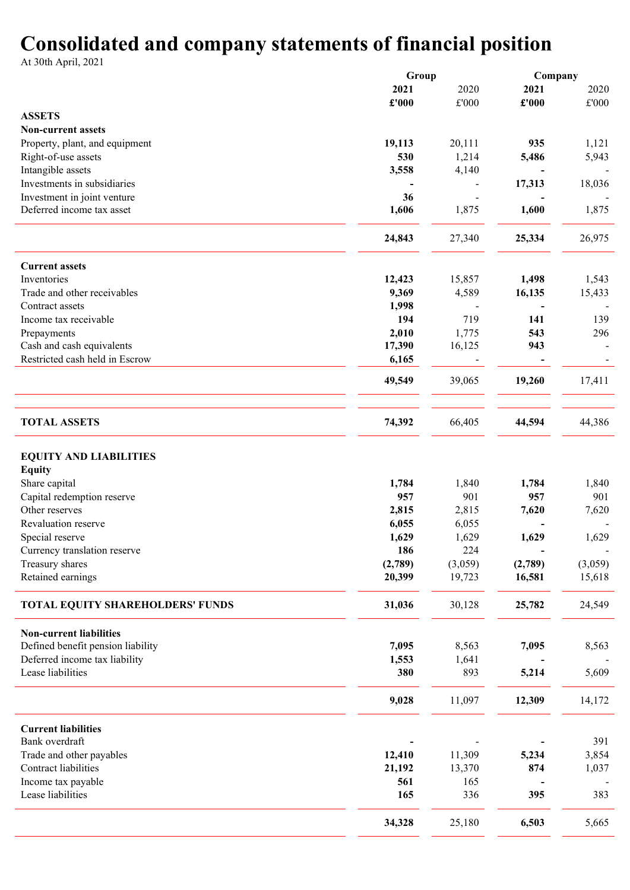## Consolidated and company statements of financial position

At 30th April, 2021

|                                                          | Group   |               | Company |         |  |
|----------------------------------------------------------|---------|---------------|---------|---------|--|
|                                                          | 2021    | 2020          | 2021    | 2020    |  |
|                                                          | £'000   | $\pounds 000$ | £'000   | £'000   |  |
| <b>ASSETS</b>                                            |         |               |         |         |  |
| <b>Non-current assets</b>                                |         |               |         |         |  |
| Property, plant, and equipment                           | 19,113  | 20,111        | 935     | 1,121   |  |
| Right-of-use assets                                      | 530     | 1,214         | 5,486   | 5,943   |  |
| Intangible assets                                        | 3,558   | 4,140         |         |         |  |
| Investments in subsidiaries                              |         |               | 17,313  |         |  |
|                                                          | 36      |               |         | 18,036  |  |
| Investment in joint venture<br>Deferred income tax asset |         |               |         |         |  |
|                                                          | 1,606   | 1,875         | 1,600   | 1,875   |  |
|                                                          | 24,843  | 27,340        | 25,334  | 26,975  |  |
| <b>Current assets</b>                                    |         |               |         |         |  |
| Inventories                                              | 12,423  | 15,857        | 1,498   | 1,543   |  |
| Trade and other receivables                              | 9,369   | 4,589         | 16,135  | 15,433  |  |
| Contract assets                                          | 1,998   |               |         |         |  |
| Income tax receivable                                    | 194     | 719           | 141     | 139     |  |
| Prepayments                                              | 2,010   | 1,775         | 543     | 296     |  |
| Cash and cash equivalents                                | 17,390  | 16,125        | 943     |         |  |
| Restricted cash held in Escrow                           | 6,165   |               |         |         |  |
|                                                          | 49,549  | 39,065        | 19,260  | 17,411  |  |
|                                                          |         |               |         |         |  |
| <b>TOTAL ASSETS</b>                                      | 74,392  | 66,405        | 44,594  | 44,386  |  |
|                                                          |         |               |         |         |  |
| <b>EQUITY AND LIABILITIES</b>                            |         |               |         |         |  |
| <b>Equity</b>                                            |         |               |         |         |  |
| Share capital                                            | 1,784   | 1,840         | 1,784   | 1,840   |  |
| Capital redemption reserve                               | 957     | 901           | 957     | 901     |  |
| Other reserves                                           | 2,815   | 2,815         | 7,620   | 7,620   |  |
| Revaluation reserve                                      | 6,055   | 6,055         |         |         |  |
| Special reserve                                          | 1,629   | 1,629         | 1,629   | 1,629   |  |
| Currency translation reserve                             |         |               |         |         |  |
|                                                          | 186     | 224           |         |         |  |
| Treasury shares                                          | (2,789) | (3,059)       | (2,789) | (3,059) |  |
| Retained earnings                                        | 20,399  | 19,723        | 16,581  | 15,618  |  |
| TOTAL EQUITY SHAREHOLDERS' FUNDS                         | 31,036  | 30,128        | 25,782  | 24,549  |  |
| <b>Non-current liabilities</b>                           |         |               |         |         |  |
| Defined benefit pension liability                        | 7,095   | 8,563         | 7,095   | 8,563   |  |
| Deferred income tax liability                            | 1,553   | 1,641         |         |         |  |
| Lease liabilities                                        | 380     | 893           | 5,214   | 5,609   |  |
|                                                          |         |               |         |         |  |
|                                                          | 9,028   | 11,097        | 12,309  | 14,172  |  |
| <b>Current liabilities</b>                               |         |               |         |         |  |
| Bank overdraft                                           |         |               |         | 391     |  |
| Trade and other payables                                 | 12,410  | 11,309        | 5,234   | 3,854   |  |
| Contract liabilities                                     | 21,192  | 13,370        | 874     | 1,037   |  |
| Income tax payable                                       | 561     | 165           |         |         |  |
| Lease liabilities                                        | 165     | 336           | 395     | 383     |  |
|                                                          |         |               |         |         |  |
|                                                          | 34,328  | 25,180        | 6,503   | 5,665   |  |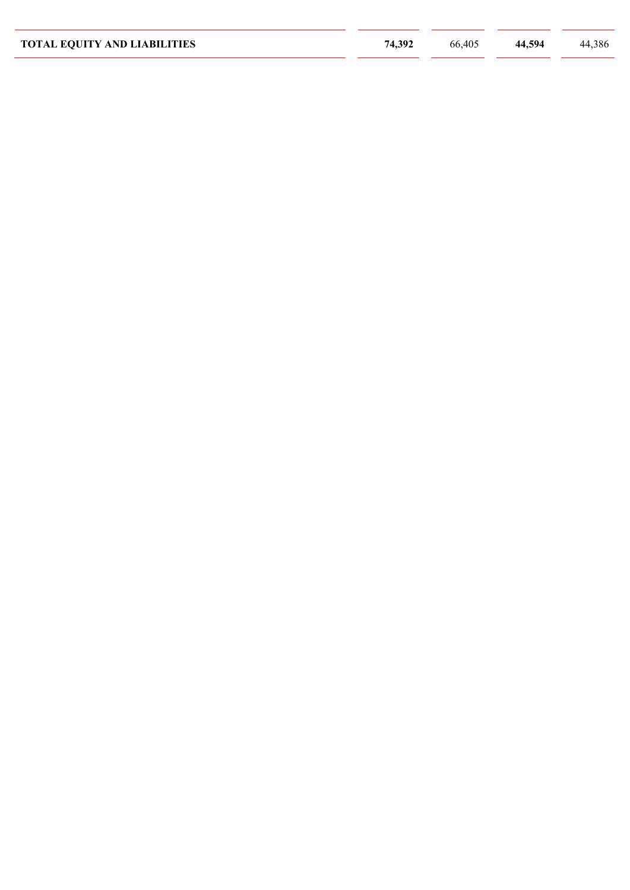| <b>TOTAL EQUITY AND LIABILITIES</b> | 74,392 | 66,405 | 44,594 | 44,386 |
|-------------------------------------|--------|--------|--------|--------|
|                                     |        |        |        |        |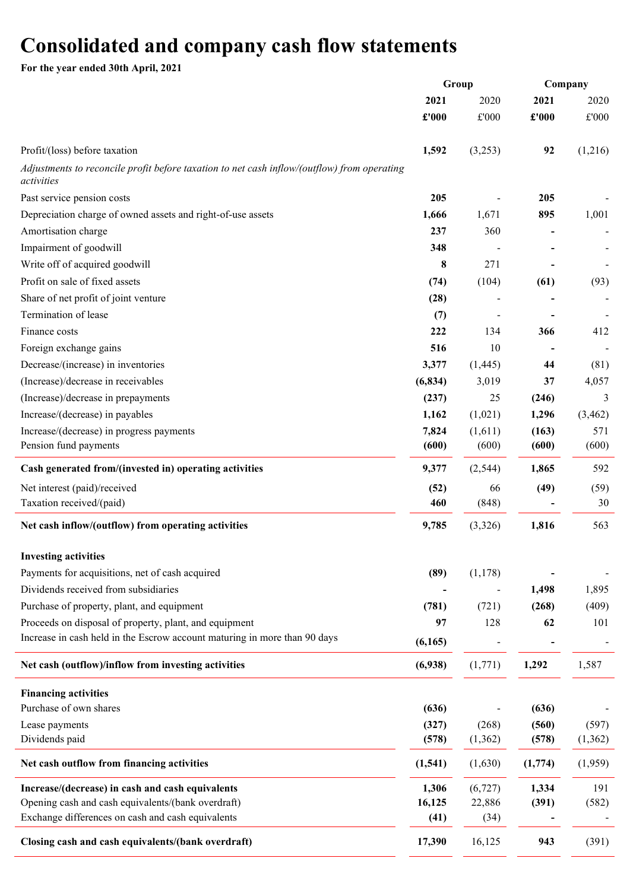## Consolidated and company cash flow statements

For the year ended 30th April, 2021

| 2021<br>2020<br>$\pounds 000$<br>£'000<br>Profit/(loss) before taxation<br>1,592<br>(3,253)<br>Adjustments to reconcile profit before taxation to net cash inflow/(outflow) from operating<br>activities<br>Past service pension costs<br>205<br>Depreciation charge of owned assets and right-of-use assets<br>1,666<br>1,671<br>Amortisation charge<br>237<br>360<br>Impairment of goodwill<br>348<br>Write off of acquired goodwill<br>8<br>271 | 2021<br>£'000<br>92<br>205<br>895 | 2020<br>$\pounds 000$<br>(1,216)<br>1,001 |
|----------------------------------------------------------------------------------------------------------------------------------------------------------------------------------------------------------------------------------------------------------------------------------------------------------------------------------------------------------------------------------------------------------------------------------------------------|-----------------------------------|-------------------------------------------|
|                                                                                                                                                                                                                                                                                                                                                                                                                                                    |                                   |                                           |
|                                                                                                                                                                                                                                                                                                                                                                                                                                                    |                                   |                                           |
|                                                                                                                                                                                                                                                                                                                                                                                                                                                    |                                   |                                           |
|                                                                                                                                                                                                                                                                                                                                                                                                                                                    |                                   |                                           |
|                                                                                                                                                                                                                                                                                                                                                                                                                                                    |                                   |                                           |
|                                                                                                                                                                                                                                                                                                                                                                                                                                                    |                                   |                                           |
|                                                                                                                                                                                                                                                                                                                                                                                                                                                    |                                   |                                           |
|                                                                                                                                                                                                                                                                                                                                                                                                                                                    |                                   |                                           |
|                                                                                                                                                                                                                                                                                                                                                                                                                                                    |                                   |                                           |
| Profit on sale of fixed assets<br>(104)<br>(74)                                                                                                                                                                                                                                                                                                                                                                                                    | (61)                              | (93)                                      |
| Share of net profit of joint venture<br>(28)                                                                                                                                                                                                                                                                                                                                                                                                       |                                   |                                           |
| Termination of lease<br>(7)                                                                                                                                                                                                                                                                                                                                                                                                                        |                                   |                                           |
| 222<br>Finance costs<br>134                                                                                                                                                                                                                                                                                                                                                                                                                        | 366                               | 412                                       |
| 516<br>10<br>Foreign exchange gains                                                                                                                                                                                                                                                                                                                                                                                                                |                                   |                                           |
| Decrease/(increase) in inventories<br>3,377<br>(1,445)                                                                                                                                                                                                                                                                                                                                                                                             | 44                                | (81)                                      |
| (Increase)/decrease in receivables<br>(6, 834)<br>3,019                                                                                                                                                                                                                                                                                                                                                                                            | 37                                | 4,057                                     |
| (Increase)/decrease in prepayments<br>(237)<br>25                                                                                                                                                                                                                                                                                                                                                                                                  | (246)                             | 3                                         |
| Increase/(decrease) in payables<br>(1,021)<br>1,162                                                                                                                                                                                                                                                                                                                                                                                                | 1,296                             | (3, 462)                                  |
| Increase/(decrease) in progress payments<br>7,824<br>(1,611)                                                                                                                                                                                                                                                                                                                                                                                       | (163)                             | 571                                       |
| Pension fund payments<br>(600)<br>(600)                                                                                                                                                                                                                                                                                                                                                                                                            | (600)                             | (600)                                     |
| 9,377<br>Cash generated from/(invested in) operating activities<br>(2, 544)                                                                                                                                                                                                                                                                                                                                                                        | 1,865                             | 592                                       |
| Net interest (paid)/received<br>(52)<br>66                                                                                                                                                                                                                                                                                                                                                                                                         | (49)                              | (59)                                      |
| Taxation received/(paid)<br>(848)<br>460                                                                                                                                                                                                                                                                                                                                                                                                           |                                   | 30                                        |
| 9,785<br>(3,326)<br>Net cash inflow/(outflow) from operating activities                                                                                                                                                                                                                                                                                                                                                                            | 1,816                             | 563                                       |
| <b>Investing activities</b>                                                                                                                                                                                                                                                                                                                                                                                                                        |                                   |                                           |
| Payments for acquisitions, net of cash acquired<br>(89)<br>(1, 178)                                                                                                                                                                                                                                                                                                                                                                                |                                   |                                           |
| Dividends received from subsidiaries                                                                                                                                                                                                                                                                                                                                                                                                               | 1,498                             | 1,895                                     |
| Purchase of property, plant, and equipment<br>(781)<br>(721)                                                                                                                                                                                                                                                                                                                                                                                       | (268)                             | (409)                                     |
| Proceeds on disposal of property, plant, and equipment<br>97<br>128                                                                                                                                                                                                                                                                                                                                                                                | 62                                | 101                                       |
| Increase in cash held in the Escrow account maturing in more than 90 days<br>(6,165)                                                                                                                                                                                                                                                                                                                                                               |                                   |                                           |
| Net cash (outflow)/inflow from investing activities<br>(1,771)<br>(6,938)                                                                                                                                                                                                                                                                                                                                                                          | 1,292                             | 1,587                                     |
| <b>Financing activities</b>                                                                                                                                                                                                                                                                                                                                                                                                                        |                                   |                                           |
| Purchase of own shares<br>(636)                                                                                                                                                                                                                                                                                                                                                                                                                    | (636)                             |                                           |
| (268)<br>Lease payments<br>(327)                                                                                                                                                                                                                                                                                                                                                                                                                   | (560)                             | (597)                                     |
| Dividends paid<br>(1, 362)<br>(578)                                                                                                                                                                                                                                                                                                                                                                                                                | (578)                             | (1,362)                                   |
| Net cash outflow from financing activities<br>(1, 541)<br>(1,630)                                                                                                                                                                                                                                                                                                                                                                                  | (1,774)                           | (1,959)                                   |
| Increase/(decrease) in cash and cash equivalents<br>1,306<br>(6, 727)                                                                                                                                                                                                                                                                                                                                                                              | 1,334                             | 191                                       |
| Opening cash and cash equivalents/(bank overdraft)<br>16,125<br>22,886                                                                                                                                                                                                                                                                                                                                                                             | (391)                             | (582)                                     |
| Exchange differences on cash and cash equivalents<br>(41)<br>(34)                                                                                                                                                                                                                                                                                                                                                                                  |                                   |                                           |
| Closing cash and cash equivalents/(bank overdraft)<br>17,390<br>16,125                                                                                                                                                                                                                                                                                                                                                                             | 943                               | (391)                                     |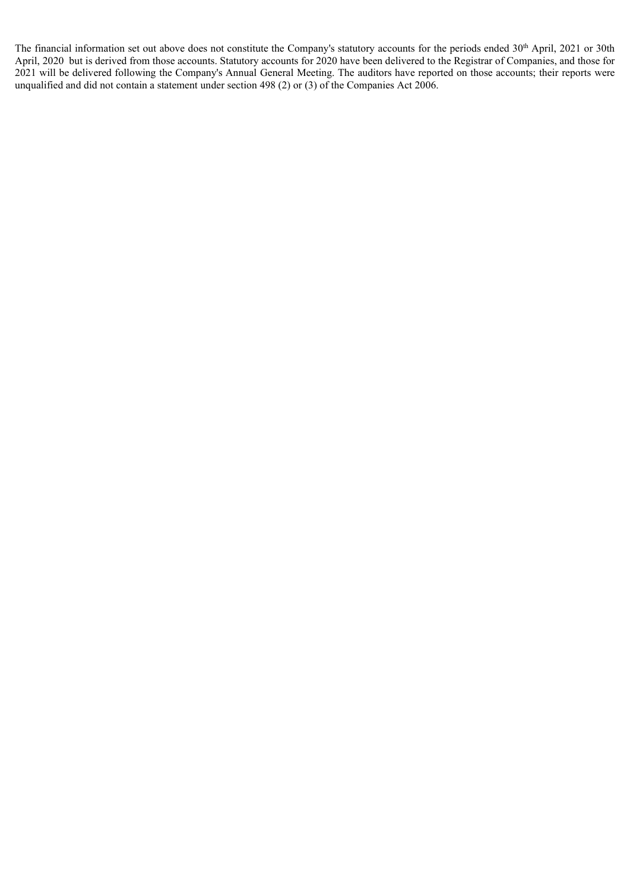The financial information set out above does not constitute the Company's statutory accounts for the periods ended 30<sup>th</sup> April, 2021 or 30th April, 2020 but is derived from those accounts. Statutory accounts for 2020 have been delivered to the Registrar of Companies, and those for 2021 will be delivered following the Company's Annual General Meeting. The auditors have reported on those accounts; their reports were unqualified and did not contain a statement under section 498 (2) or (3) of the Companies Act 2006.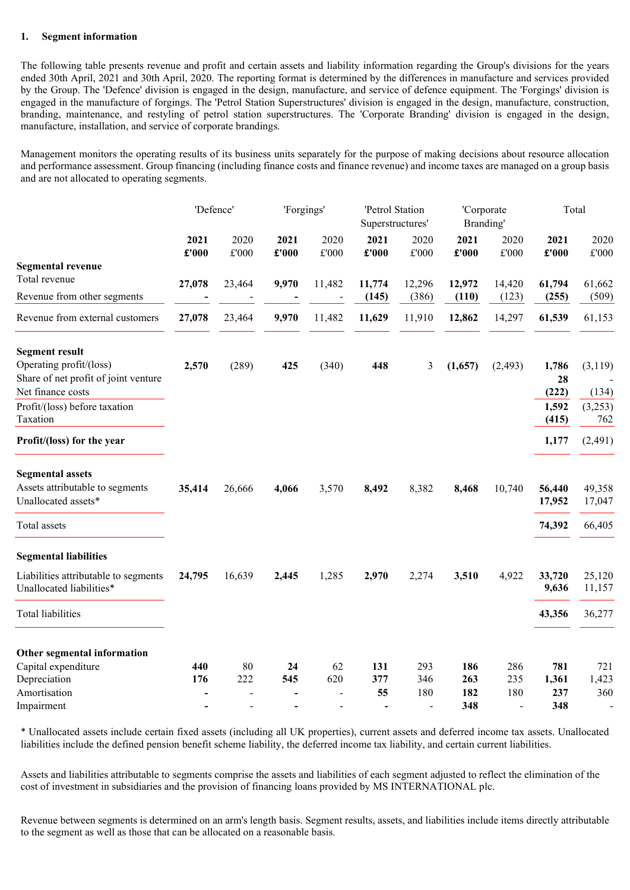#### 1. Segment information

The following table presents revenue and profit and certain assets and liability information regarding the Group's divisions for the years ended 30th April, 2021 and 30th April, 2020. The reporting format is determined by the differences in manufacture and services provided by the Group. The 'Defence' division is engaged in the design, manufacture, and service of defence equipment. The 'Forgings' division is engaged in the manufacture of forgings. The 'Petrol Station Superstructures' division is engaged in the design, manufacture, construction, branding, maintenance, and restyling of petrol station superstructures. The 'Corporate Branding' division is engaged in the design, manufacture, installation, and service of corporate brandings.

Management monitors the operating results of its business units separately for the purpose of making decisions about resource allocation and performance assessment. Group financing (including finance costs and finance revenue) and income taxes are managed on a group basis and are not allocated to operating segments.

|                                                                  | 'Defence' |                | 'Forgings' |        | 'Petrol Station<br>Superstructures' |                 | 'Corporate<br>Branding' |                 | Total            |                  |
|------------------------------------------------------------------|-----------|----------------|------------|--------|-------------------------------------|-----------------|-------------------------|-----------------|------------------|------------------|
|                                                                  | 2021      | 2020           | 2021       | 2020   | 2021                                | 2020            | 2021                    | 2020            | 2021             | 2020             |
|                                                                  | £'000     | £'000          | £'000      | £'000  | £'000                               | £'000           | £'000                   | £'000           | £'000            | $\pounds 000$    |
| <b>Segmental revenue</b><br>Total revenue                        |           |                |            |        |                                     |                 |                         |                 |                  |                  |
| Revenue from other segments                                      | 27,078    | 23,464         | 9,970      | 11,482 | 11,774<br>(145)                     | 12,296<br>(386) | 12,972<br>(110)         | 14,420<br>(123) | 61,794<br>(255)  | 61,662<br>(509)  |
| Revenue from external customers                                  | 27,078    | 23,464         | 9,970      | 11,482 | 11,629                              | 11,910          | 12,862                  | 14,297          | 61,539           | 61,153           |
| <b>Segment result</b>                                            |           |                |            |        |                                     |                 |                         |                 |                  |                  |
| Operating profit/(loss)<br>Share of net profit of joint venture  | 2,570     | (289)          | 425        | (340)  | 448                                 | 3               | (1,657)                 | (2, 493)        | 1,786<br>28      | (3,119)          |
| Net finance costs                                                |           |                |            |        |                                     |                 |                         |                 | (222)            | (134)            |
| Profit/(loss) before taxation<br>Taxation                        |           |                |            |        |                                     |                 |                         |                 | 1,592<br>(415)   | (3,253)<br>762   |
| Profit/(loss) for the year                                       |           |                |            |        |                                     |                 |                         |                 | 1,177            | (2, 491)         |
| <b>Segmental assets</b>                                          |           |                |            |        |                                     |                 |                         |                 |                  |                  |
| Assets attributable to segments<br>Unallocated assets*           | 35,414    | 26,666         | 4,066      | 3,570  | 8,492                               | 8,382           | 8,468                   | 10,740          | 56,440<br>17,952 | 49,358<br>17,047 |
| Total assets                                                     |           |                |            |        |                                     |                 |                         |                 | 74,392           | 66,405           |
| <b>Segmental liabilities</b>                                     |           |                |            |        |                                     |                 |                         |                 |                  |                  |
| Liabilities attributable to segments<br>Unallocated liabilities* | 24,795    | 16,639         | 2,445      | 1,285  | 2,970                               | 2,274           | 3,510                   | 4,922           | 33,720<br>9,636  | 25,120<br>11,157 |
| <b>Total liabilities</b>                                         |           |                |            |        |                                     |                 |                         |                 | 43,356           | 36,277           |
| Other segmental information                                      |           |                |            |        |                                     |                 |                         |                 |                  |                  |
| Capital expenditure                                              | 440       | 80             | 24         | 62     | 131                                 | 293             | 186                     | 286             | 781              | 721              |
| Depreciation                                                     | 176       | 222            | 545        | 620    | 377                                 | 346             | 263                     | 235             | 1,361            | 1,423            |
| Amortisation                                                     |           | $\overline{a}$ |            |        | 55                                  | 180             | 182                     | 180             | 237              | 360              |
| Impairment                                                       |           | $\overline{a}$ |            |        |                                     | $\overline{a}$  | 348                     | $\overline{a}$  | 348              |                  |

\* Unallocated assets include certain fixed assets (including all UK properties), current assets and deferred income tax assets. Unallocated liabilities include the defined pension benefit scheme liability, the deferred income tax liability, and certain current liabilities.

Assets and liabilities attributable to segments comprise the assets and liabilities of each segment adjusted to reflect the elimination of the cost of investment in subsidiaries and the provision of financing loans provided by MS INTERNATIONAL plc.

Revenue between segments is determined on an arm's length basis. Segment results, assets, and liabilities include items directly attributable to the segment as well as those that can be allocated on a reasonable basis.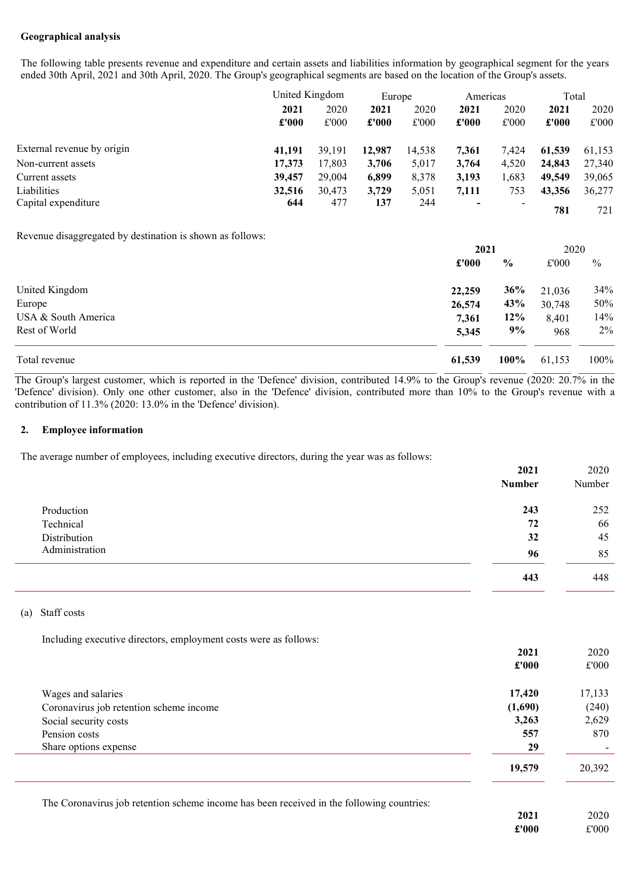### Geographical analysis

The following table presents revenue and expenditure and certain assets and liabilities information by geographical segment for the years ended 30th April, 2021 and 30th April, 2020. The Group's geographical segments are based on the location of the Group's assets.

|                            |        | United Kingdom         |               | Europe |                          | Americas                 |        | Total  |       |
|----------------------------|--------|------------------------|---------------|--------|--------------------------|--------------------------|--------|--------|-------|
|                            | 2021   | 2020<br>£'000<br>£'000 | 2021<br>£'000 | 2020   | 2021                     | 2020                     | 2021   | 2020   |       |
|                            |        |                        |               |        | £'000                    | £'000                    | £'000  | £'000  | £'000 |
| External revenue by origin | 41.191 | 39,191                 | 12,987        | 14,538 | 7.361                    | 7.424                    | 61,539 | 61,153 |       |
| Non-current assets         | 17,373 | 17,803                 | 3,706         | 5,017  | 3.764                    | 4,520                    | 24,843 | 27,340 |       |
| Current assets             | 39,457 | 29,004                 | 6,899         | 8,378  | 3,193                    | 1,683                    | 49,549 | 39,065 |       |
| Liabilities                | 32,516 | 30,473                 | 3,729         | 5,051  | 7,111                    | 753                      | 43,356 | 36,277 |       |
| Capital expenditure        | 644    | 477                    | 137           | 244    | $\overline{\phantom{0}}$ | $\overline{\phantom{0}}$ | 781    | 721    |       |

Revenue disaggregated by destination is shown as follows:

|                     |        | 2021          |        | 2020 |
|---------------------|--------|---------------|--------|------|
|                     | £'000  | $\frac{6}{9}$ | £'000  | $\%$ |
| United Kingdom      | 22,259 | 36%           | 21,036 | 34%  |
| Europe              | 26,574 | 43%           | 30,748 | 50%  |
| USA & South America | 7,361  | 12%           | 8,401  | 14%  |
| Rest of World       | 5,345  | 9%            | 968    | 2%   |
| Total revenue       | 61,539 | 100%          | 61,153 | 100% |

The Group's largest customer, which is reported in the 'Defence' division, contributed 14.9% to the Group's revenue (2020: 20.7% in the 'Defence' division). Only one other customer, also in the 'Defence' division, contributed more than 10% to the Group's revenue with a contribution of 11.3% (2020: 13.0% in the 'Defence' division).

#### 2. Employee information

The average number of employees, including executive directors, during the year was as follows:

|                | 2021          | 2020   |
|----------------|---------------|--------|
|                | <b>Number</b> | Number |
| Production     | 243           | 252    |
| Technical      | 72            | 66     |
| Distribution   | 32            | 45     |
| Administration | 96            | 85     |
|                | 443           | 448    |

#### (a) Staff costs

Including executive directors, employment costs were as follows:

| £'000                    |
|--------------------------|
| 17,133                   |
| (240)                    |
| 2,629                    |
| 870                      |
| $\overline{\phantom{0}}$ |
| 20,392                   |
|                          |

The Coronavirus job retention scheme income has been received in the following countries:

2021 2020 £'000 £'000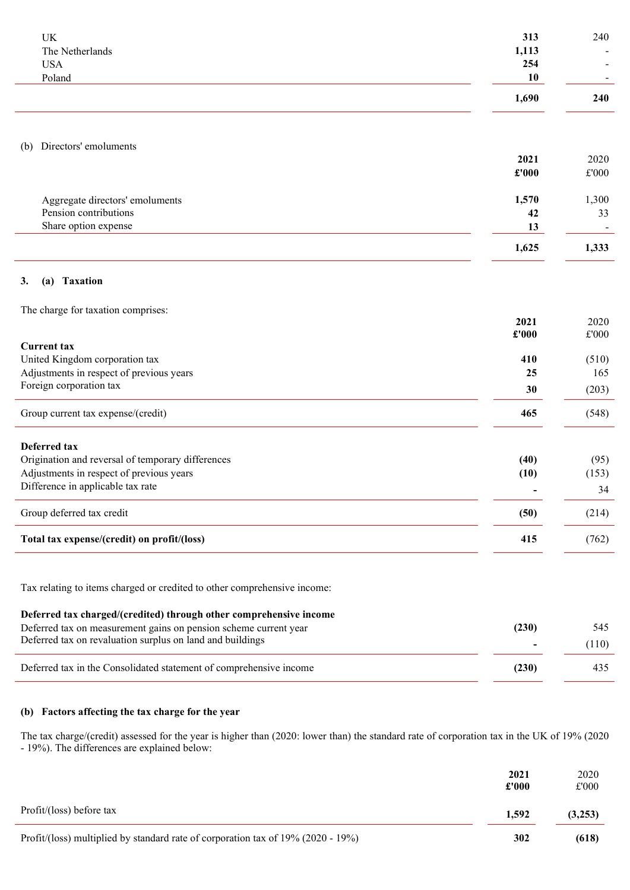| UK<br>The Netherlands                             | 313<br>1,113<br>254 | 240                   |
|---------------------------------------------------|---------------------|-----------------------|
| <b>USA</b><br>Poland                              | 10                  |                       |
|                                                   | 1,690               | 240                   |
|                                                   |                     |                       |
| Directors' emoluments<br>(b)                      |                     |                       |
|                                                   | 2021                | 2020                  |
|                                                   | £'000               | $\pounds 000$         |
| Aggregate directors' emoluments                   | 1,570               | 1,300                 |
| Pension contributions                             | 42                  | 33                    |
| Share option expense                              | 13                  |                       |
|                                                   | 1,625               | 1,333                 |
| <b>Taxation</b><br>3.<br>(a)                      |                     |                       |
|                                                   |                     |                       |
| The charge for taxation comprises:                |                     |                       |
|                                                   | 2021<br>£'000       | 2020<br>$\pounds 000$ |
| <b>Current tax</b>                                |                     |                       |
| United Kingdom corporation tax                    | 410                 | (510)                 |
| Adjustments in respect of previous years          | 25                  | 165                   |
| Foreign corporation tax                           | 30                  | (203)                 |
| Group current tax expense/(credit)                | 465                 | (548)                 |
| Deferred tax                                      |                     |                       |
| Origination and reversal of temporary differences | (40)                | (95)                  |
| Adjustments in respect of previous years          | (10)                | (153)                 |
| Difference in applicable tax rate                 |                     | 34                    |
| Group deferred tax credit                         | (50)                | (214)                 |
| Total tax expense/(credit) on profit/(loss)       | 415                 | (762)                 |
|                                                   |                     |                       |

Tax relating to items charged or credited to other comprehensive income:

## Deferred tax charged/(credited) through other comprehensive income

| Deferred tax on measurement gains on pension scheme current year   | (230) | 545   |
|--------------------------------------------------------------------|-------|-------|
| Deferred tax on revaluation surplus on land and buildings          |       | (110) |
| Deferred tax in the Consolidated statement of comprehensive income | (230) | 435   |

## (b) Factors affecting the tax charge for the year

The tax charge/(credit) assessed for the year is higher than (2020: lower than) the standard rate of corporation tax in the UK of 19% (2020 - 19%). The differences are explained below:

|                                                                                  | 2021<br>£'000 | 2020<br>£'000 |
|----------------------------------------------------------------------------------|---------------|---------------|
| Profit/(loss) before tax                                                         | 1.592         | (3,253)       |
| Profit/(loss) multiplied by standard rate of corporation tax of 19% (2020 - 19%) | 302           | (618)         |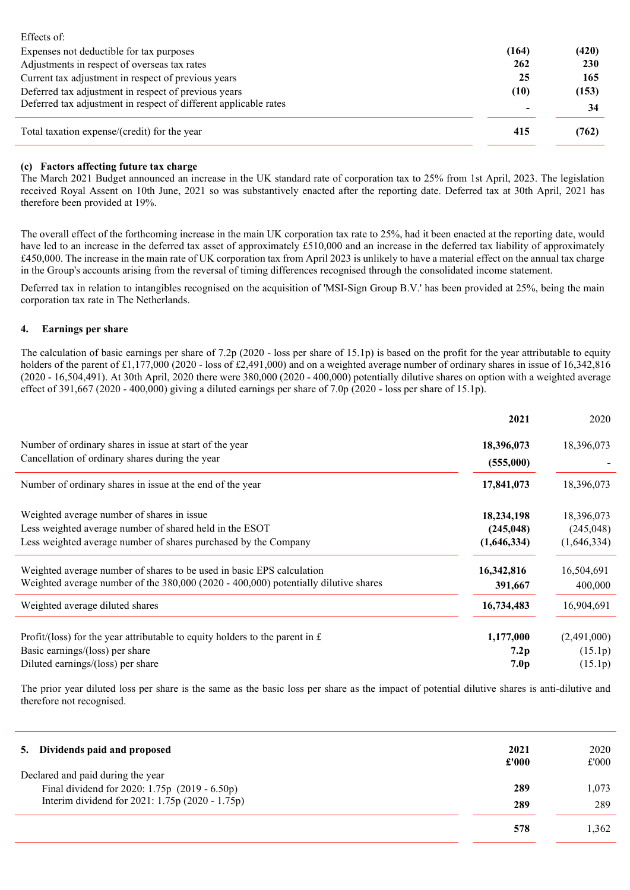| Effects of:                                                      |       |            |
|------------------------------------------------------------------|-------|------------|
| Expenses not deductible for tax purposes                         | (164) | (420)      |
| Adjustments in respect of overseas tax rates                     | 262   | <b>230</b> |
| Current tax adjustment in respect of previous years              | 25    | 165        |
| Deferred tax adjustment in respect of previous years             | (10)  | (153)      |
| Deferred tax adjustment in respect of different applicable rates |       | 34         |
| Total taxation expense/(credit) for the year                     | 415   | (762)      |
|                                                                  |       |            |

### (c) Factors affecting future tax charge

The March 2021 Budget announced an increase in the UK standard rate of corporation tax to 25% from 1st April, 2023. The legislation received Royal Assent on 10th June, 2021 so was substantively enacted after the reporting date. Deferred tax at 30th April, 2021 has therefore been provided at 19%.

The overall effect of the forthcoming increase in the main UK corporation tax rate to 25%, had it been enacted at the reporting date, would have led to an increase in the deferred tax asset of approximately £510,000 and an increase in the deferred tax liability of approximately £450,000. The increase in the main rate of UK corporation tax from April 2023 is unlikely to have a material effect on the annual tax charge in the Group's accounts arising from the reversal of timing differences recognised through the consolidated income statement.

Deferred tax in relation to intangibles recognised on the acquisition of 'MSI-Sign Group B.V.' has been provided at 25%, being the main corporation tax rate in The Netherlands.

#### 4. Earnings per share

The calculation of basic earnings per share of 7.2p (2020 - loss per share of 15.1p) is based on the profit for the year attributable to equity holders of the parent of £1,177,000 (2020 - loss of £2,491,000) and on a weighted average number of ordinary shares in issue of 16,342,816 (2020 - 16,504,491). At 30th April, 2020 there were 380,000 (2020 - 400,000) potentially dilutive shares on option with a weighted average effect of 391,667 (2020 - 400,000) giving a diluted earnings per share of 7.0p (2020 - loss per share of 15.1p).

|                                                                                      | 2021        | 2020        |
|--------------------------------------------------------------------------------------|-------------|-------------|
| Number of ordinary shares in issue at start of the year                              | 18,396,073  | 18,396,073  |
| Cancellation of ordinary shares during the year                                      | (555,000)   |             |
| Number of ordinary shares in issue at the end of the year                            | 17,841,073  | 18,396,073  |
| Weighted average number of shares in issue                                           | 18,234,198  | 18,396,073  |
| Less weighted average number of shared held in the ESOT                              | (245, 048)  | (245, 048)  |
| Less weighted average number of shares purchased by the Company                      | (1,646,334) | (1,646,334) |
| Weighted average number of shares to be used in basic EPS calculation                | 16,342,816  | 16,504,691  |
| Weighted average number of the $380,000(2020 - 400,000)$ potentially dilutive shares | 391,667     | 400,000     |
| Weighted average diluted shares                                                      | 16,734,483  | 16,904,691  |
| Profit/(loss) for the year attributable to equity holders to the parent in £         | 1,177,000   | (2,491,000) |
| Basic earnings/(loss) per share                                                      | 7.2p        | (15.1p)     |
| Diluted earnings/(loss) per share                                                    | 7.0p        | (15.1p)     |

The prior year diluted loss per share is the same as the basic loss per share as the impact of potential dilutive shares is anti-dilutive and therefore not recognised.

| Dividends paid and proposed<br>5.               | 2021<br>£'000 | 2020<br>£'000 |
|-------------------------------------------------|---------------|---------------|
| Declared and paid during the year               |               |               |
| Final dividend for 2020: 1.75p (2019 - 6.50p)   | 289           | 1.073         |
| Interim dividend for 2021: 1.75p (2020 - 1.75p) | 289           | 289           |
|                                                 | 578           | .362          |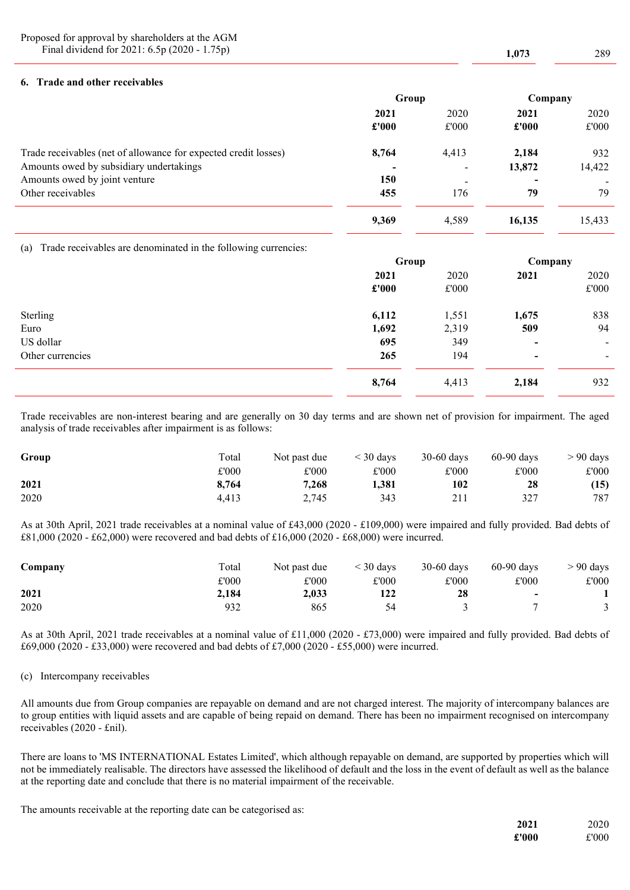Proposed for approval by shareholders at the AGM Final dividend for 2021: 6.5p (2020 - 1.75p) 1,073 289

### 6. Trade and other receivables

|                                                                 | Group |                          | Company |        |
|-----------------------------------------------------------------|-------|--------------------------|---------|--------|
|                                                                 | 2021  | 2020                     | 2021    | 2020   |
|                                                                 | £'000 | £'000                    | £'000   | £'000  |
| Trade receivables (net of allowance for expected credit losses) | 8,764 | 4,413                    | 2,184   | 932    |
| Amounts owed by subsidiary undertakings                         |       | $\overline{\phantom{a}}$ | 13,872  | 14,422 |
| Amounts owed by joint venture                                   | 150   | $\overline{\phantom{a}}$ |         | -      |
| Other receivables                                               | 455   | 176                      | 79      | 79     |
|                                                                 | 9,369 | 4,589                    | 16.135  | 15,433 |

(a) Trade receivables are denominated in the following currencies:

|                  | Group |       | Company                  |                |
|------------------|-------|-------|--------------------------|----------------|
|                  | 2021  | 2020  | 2021                     | 2020           |
|                  | £'000 | £'000 |                          | £'000          |
| Sterling         | 6,112 | 1,551 | 1,675                    | 838            |
| Euro             | 1,692 | 2,319 | 509                      | 94             |
| US dollar        | 695   | 349   | $\overline{\phantom{0}}$ | $\sim$         |
| Other currencies | 265   | 194   | $\blacksquare$           | $\blacksquare$ |
|                  | 8,764 | 4,413 | 2,184                    | 932            |

Trade receivables are non-interest bearing and are generally on 30 day terms and are shown net of provision for impairment. The aged analysis of trade receivables after impairment is as follows:

| Group | Total | Not past due | $\leq$ 30 days | $30-60$ days | $60-90$ days | $> 90$ days |
|-------|-------|--------------|----------------|--------------|--------------|-------------|
|       | £'000 | £'000        | £'000          | £'000        | £'000        | £'000       |
| 2021  | 8.764 | 7.268        | 1.381          | 102          | 28           | (15)        |
| 2020  | 4.413 | 2.745        | 343            | 211          | 327          | 787         |

As at 30th April, 2021 trade receivables at a nominal value of £43,000 (2020 - £109,000) were impaired and fully provided. Bad debts of £81,000 (2020 - £62,000) were recovered and bad debts of £16,000 (2020 - £68,000) were incurred.

| Company | Total | Not past due | $\leq$ 30 days | $30-60$ days | $60-90$ days             | $> 90$ days |
|---------|-------|--------------|----------------|--------------|--------------------------|-------------|
|         | £'000 | £'000        | £'000          | £'000        | £'000                    | £'000       |
| 2021    | 2.184 | 2.033        | 122            | 28           | $\overline{\phantom{0}}$ |             |
| 2020    | 932   | 865          |                |              |                          |             |

As at 30th April, 2021 trade receivables at a nominal value of £11,000 (2020 - £73,000) were impaired and fully provided. Bad debts of £69,000 (2020 - £33,000) were recovered and bad debts of £7,000 (2020 - £55,000) were incurred.

### (c) Intercompany receivables

All amounts due from Group companies are repayable on demand and are not charged interest. The majority of intercompany balances are to group entities with liquid assets and are capable of being repaid on demand. There has been no impairment recognised on intercompany receivables (2020 - £nil).

There are loans to 'MS INTERNATIONAL Estates Limited', which although repayable on demand, are supported by properties which will not be immediately realisable. The directors have assessed the likelihood of default and the loss in the event of default as well as the balance at the reporting date and conclude that there is no material impairment of the receivable.

The amounts receivable at the reporting date can be categorised as:

| 2021  | 2020  |
|-------|-------|
| £'000 | £'000 |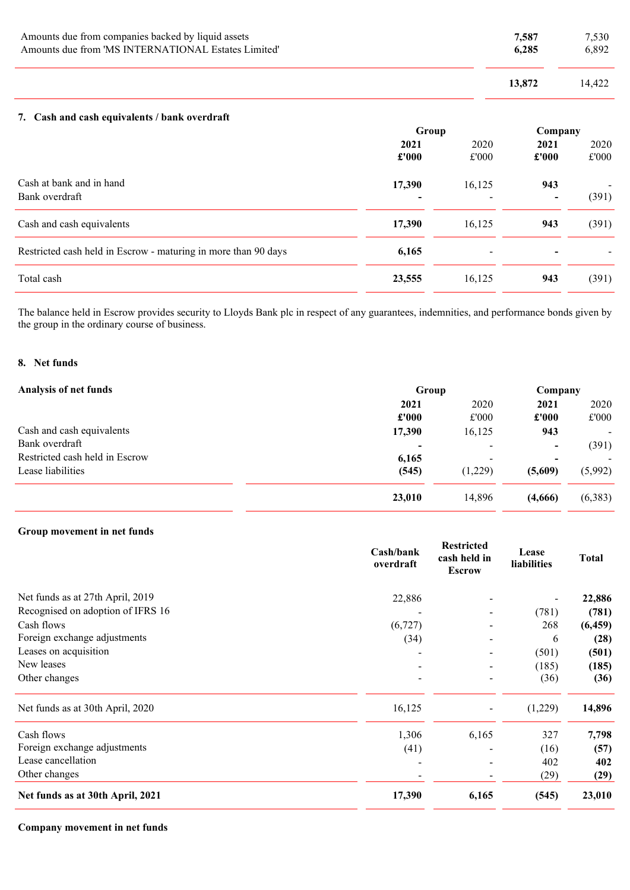| Amounts due from companies backed by liquid assets  |        | 7.530  |
|-----------------------------------------------------|--------|--------|
| Amounts due from 'MS INTERNATIONAL Estates Limited' |        | 6.892  |
|                                                     | 13.872 | 14.422 |

### 7. Cash and cash equivalents / bank overdraft

|                                                                | Group  |                          | Company |       |
|----------------------------------------------------------------|--------|--------------------------|---------|-------|
|                                                                | 2021   | 2020                     | 2021    | 2020  |
|                                                                | £'000  | £'000                    | £'000   | £'000 |
| Cash at bank and in hand                                       | 17,390 | 16,125                   | 943     |       |
| Bank overdraft                                                 |        |                          |         | (391) |
| Cash and cash equivalents                                      | 17,390 | 16,125                   | 943     | (391) |
| Restricted cash held in Escrow - maturing in more than 90 days | 6,165  | $\overline{\phantom{0}}$ |         |       |
| Total cash                                                     | 23,555 | 16,125                   | 943     | (391) |

The balance held in Escrow provides security to Lloyds Bank plc in respect of any guarantees, indemnities, and performance bonds given by the group in the ordinary course of business.

### 8. Net funds

| <b>Analysis of net funds</b>   | Group          |                          | Company                  |                          |
|--------------------------------|----------------|--------------------------|--------------------------|--------------------------|
|                                | 2021           | 2020                     | 2021                     | 2020                     |
|                                | £'000          | £'000                    | £'000                    | £'000                    |
| Cash and cash equivalents      | 17,390         | 16,125                   | 943                      | $\blacksquare$           |
| Bank overdraft                 | $\blacksquare$ | $\overline{\phantom{0}}$ | $\overline{\phantom{a}}$ | (391)                    |
| Restricted cash held in Escrow | 6,165          | $\overline{\phantom{a}}$ | $\blacksquare$           | $\overline{\phantom{0}}$ |
| Lease liabilities              | (545)          | (1,229)                  | (5,609)                  | (5,992)                  |
|                                | 23,010         | 14,896                   | (4,666)                  | (6,383)                  |

## Group movement in net funds

|                                   | Cash/bank<br>overdraft   | <b>Restricted</b><br>cash held in<br><b>Escrow</b> | Lease<br>liabilities | <b>Total</b> |
|-----------------------------------|--------------------------|----------------------------------------------------|----------------------|--------------|
| Net funds as at 27th April, 2019  | 22,886                   |                                                    |                      | 22,886       |
| Recognised on adoption of IFRS 16 |                          |                                                    | (781)                | (781)        |
| Cash flows                        | (6, 727)                 |                                                    | 268                  | (6, 459)     |
| Foreign exchange adjustments      | (34)                     |                                                    | 6                    | (28)         |
| Leases on acquisition             |                          |                                                    | (501)                | (501)        |
| New leases                        |                          |                                                    | (185)                | (185)        |
| Other changes                     | $\overline{\phantom{a}}$ |                                                    | (36)                 | (36)         |
| Net funds as at 30th April, 2020  | 16,125                   | $\overline{\phantom{a}}$                           | (1,229)              | 14,896       |
| Cash flows                        | 1,306                    | 6,165                                              | 327                  | 7,798        |
| Foreign exchange adjustments      | (41)                     |                                                    | (16)                 | (57)         |
| Lease cancellation                |                          |                                                    | 402                  | 402          |
| Other changes                     |                          |                                                    | (29)                 | (29)         |
| Net funds as at 30th April, 2021  | 17,390                   | 6,165                                              | (545)                | 23,010       |

Company movement in net funds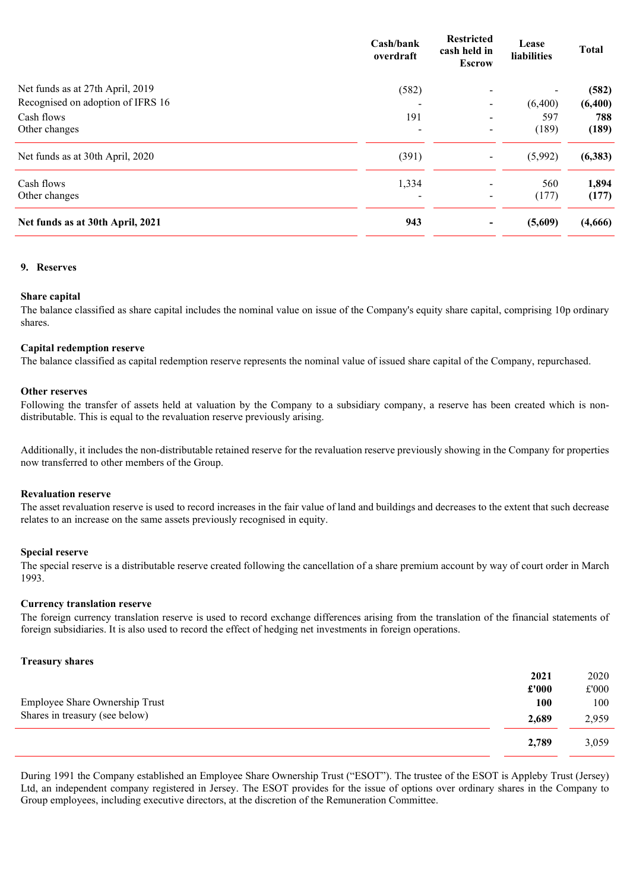|                                   | Cash/bank<br>overdraft       | <b>Restricted</b><br>cash held in<br><b>Escrow</b> | Lease<br>liabilities | <b>Total</b> |
|-----------------------------------|------------------------------|----------------------------------------------------|----------------------|--------------|
| Net funds as at 27th April, 2019  | (582)                        | $\blacksquare$                                     |                      | (582)        |
| Recognised on adoption of IFRS 16 |                              | -                                                  | (6,400)              | (6,400)      |
| Cash flows                        | 191                          | $\overline{\phantom{a}}$                           | 597                  | 788          |
| Other changes                     | $\qquad \qquad \blacksquare$ | $\overline{\phantom{0}}$                           | (189)                | (189)        |
| Net funds as at 30th April, 2020  | (391)                        | $\overline{\phantom{a}}$                           | (5,992)              | (6, 383)     |
| Cash flows                        | 1,334                        | $\blacksquare$                                     | 560                  | 1,894        |
| Other changes                     |                              | $\overline{\phantom{a}}$                           | (177)                | (177)        |
| Net funds as at 30th April, 2021  | 943                          | -                                                  | (5,609)              | (4,666)      |

### 9. Reserves

#### Share capital

The balance classified as share capital includes the nominal value on issue of the Company's equity share capital, comprising 10p ordinary shares.

#### Capital redemption reserve

The balance classified as capital redemption reserve represents the nominal value of issued share capital of the Company, repurchased.

#### Other reserves

Following the transfer of assets held at valuation by the Company to a subsidiary company, a reserve has been created which is nondistributable. This is equal to the revaluation reserve previously arising.

Additionally, it includes the non-distributable retained reserve for the revaluation reserve previously showing in the Company for properties now transferred to other members of the Group.

### Revaluation reserve

The asset revaluation reserve is used to record increases in the fair value of land and buildings and decreases to the extent that such decrease relates to an increase on the same assets previously recognised in equity.

#### Special reserve

The special reserve is a distributable reserve created following the cancellation of a share premium account by way of court order in March 1993.

#### Currency translation reserve

The foreign currency translation reserve is used to record exchange differences arising from the translation of the financial statements of foreign subsidiaries. It is also used to record the effect of hedging net investments in foreign operations.

#### Treasury shares

|                                | 2021  | 2020  |
|--------------------------------|-------|-------|
|                                | £'000 | £'000 |
| Employee Share Ownership Trust | 100   | 100   |
| Shares in treasury (see below) | 2,689 | 2,959 |
|                                | 2,789 | 3,059 |

During 1991 the Company established an Employee Share Ownership Trust ("ESOT"). The trustee of the ESOT is Appleby Trust (Jersey) Ltd, an independent company registered in Jersey. The ESOT provides for the issue of options over ordinary shares in the Company to Group employees, including executive directors, at the discretion of the Remuneration Committee.